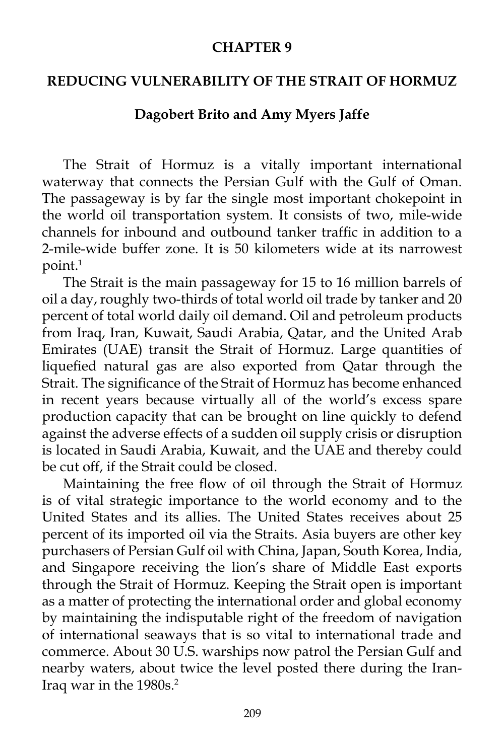### **CHAPTER 9**

## **REDUCING VULNERABILITY OF THE STRAIT OF HORMUZ**

## **Dagobert Brito and Amy Myers Jaffe**

 The Strait of Hormuz is a vitally important international waterway that connects the Persian Gulf with the Gulf of Oman. The passageway is by far the single most important chokepoint in the world oil transportation system. It consists of two, mile-wide channels for inbound and outbound tanker traffic in addition to a 2-mile-wide buffer zone. It is 50 kilometers wide at its narrowest point.1

 The Strait is the main passageway for 15 to 16 million barrels of oil a day, roughly two-thirds of total world oil trade by tanker and 20 percent of total world daily oil demand. Oil and petroleum products from Iraq, Iran, Kuwait, Saudi Arabia, Qatar, and the United Arab Emirates (UAE) transit the Strait of Hormuz. Large quantities of liquefied natural gas are also exported from Qatar through the Strait. The significance of the Strait of Hormuz has become enhanced in recent years because virtually all of the world's excess spare production capacity that can be brought on line quickly to defend against the adverse effects of a sudden oil supply crisis or disruption is located in Saudi Arabia, Kuwait, and the UAE and thereby could be cut off, if the Strait could be closed.

 Maintaining the free flow of oil through the Strait of Hormuz is of vital strategic importance to the world economy and to the United States and its allies. The United States receives about 25 percent of its imported oil via the Straits. Asia buyers are other key purchasers of Persian Gulf oil with China, Japan, South Korea, India, and Singapore receiving the lion's share of Middle East exports through the Strait of Hormuz. Keeping the Strait open is important as a matter of protecting the international order and global economy by maintaining the indisputable right of the freedom of navigation of international seaways that is so vital to international trade and commerce. About 30 U.S. warships now patrol the Persian Gulf and nearby waters, about twice the level posted there during the Iran-Iraq war in the 1980s.<sup>2</sup>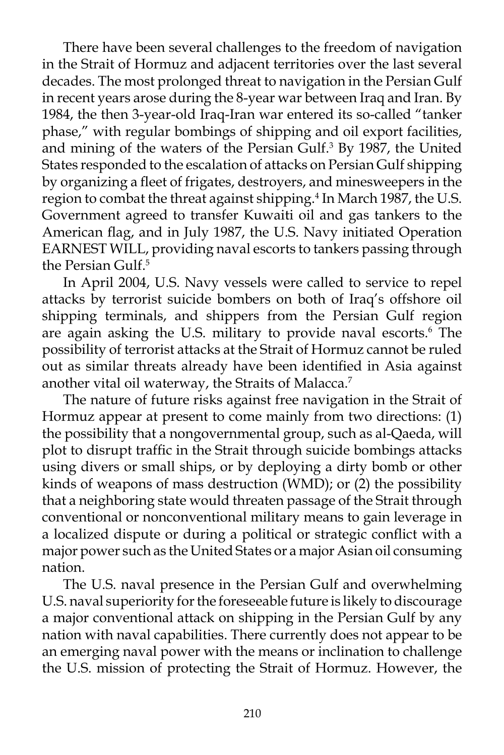There have been several challenges to the freedom of navigation in the Strait of Hormuz and adjacent territories over the last several decades. The most prolonged threat to navigation in the Persian Gulf in recent years arose during the 8-year war between Iraq and Iran. By 1984, the then 3-year-old Iraq-Iran war entered its so-called "tanker phase," with regular bombings of shipping and oil export facilities, and mining of the waters of the Persian Gulf.<sup>3</sup> By 1987, the United States responded to the escalation of attacks on Persian Gulf shipping by organizing a fleet of frigates, destroyers, and minesweepers in the region to combat the threat against shipping.<sup>4</sup> In March 1987, the U.S. Government agreed to transfer Kuwaiti oil and gas tankers to the American flag, and in July 1987, the U.S. Navy initiated Operation EARNEST WILL, providing naval escorts to tankers passing through the Persian Gulf.<sup>5</sup>

 In April 2004, U.S. Navy vessels were called to service to repel attacks by terrorist suicide bombers on both of Iraq's offshore oil shipping terminals, and shippers from the Persian Gulf region are again asking the U.S. military to provide naval escorts.6 The possibility of terrorist attacks at the Strait of Hormuz cannot be ruled out as similar threats already have been identified in Asia against another vital oil waterway, the Straits of Malacca.7

 The nature of future risks against free navigation in the Strait of Hormuz appear at present to come mainly from two directions: (1) the possibility that a nongovernmental group, such as al-Qaeda, will plot to disrupt traffic in the Strait through suicide bombings attacks using divers or small ships, or by deploying a dirty bomb or other kinds of weapons of mass destruction (WMD); or (2) the possibility that a neighboring state would threaten passage of the Strait through conventional or nonconventional military means to gain leverage in a localized dispute or during a political or strategic conflict with a major power such as the United States or a major Asian oil consuming nation.

 The U.S. naval presence in the Persian Gulf and overwhelming U.S. naval superiority for the foreseeable future is likely to discourage a major conventional attack on shipping in the Persian Gulf by any nation with naval capabilities. There currently does not appear to be an emerging naval power with the means or inclination to challenge the U.S. mission of protecting the Strait of Hormuz. However, the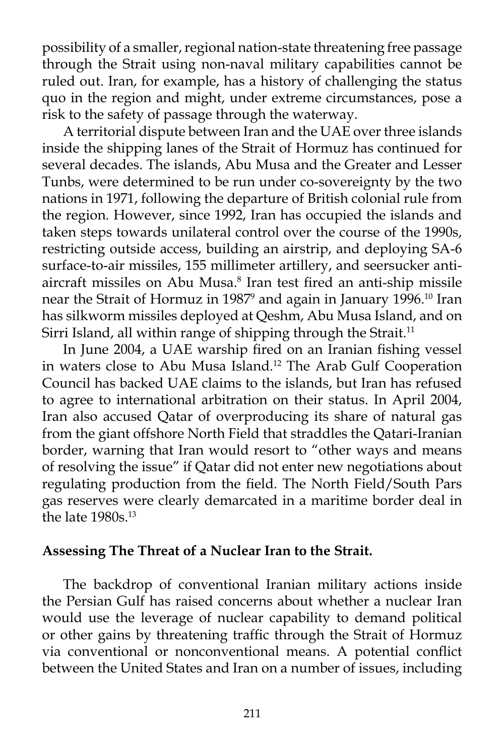possibility of a smaller, regional nation-state threatening free passage through the Strait using non-naval military capabilities cannot be ruled out. Iran, for example, has a history of challenging the status quo in the region and might, under extreme circumstances, pose a risk to the safety of passage through the waterway.

 A territorial dispute between Iran and the UAE over three islands inside the shipping lanes of the Strait of Hormuz has continued for several decades. The islands, Abu Musa and the Greater and Lesser Tunbs, were determined to be run under co-sovereignty by the two nations in 1971, following the departure of British colonial rule from the region. However, since 1992, Iran has occupied the islands and taken steps towards unilateral control over the course of the 1990s, restricting outside access, building an airstrip, and deploying SA-6 surface-to-air missiles, 155 millimeter artillery, and seersucker antiaircraft missiles on Abu Musa.<sup>8</sup> Iran test fired an anti-ship missile near the Strait of Hormuz in 1987<sup>9</sup> and again in January 1996.<sup>10</sup> Iran has silkworm missiles deployed at Qeshm, Abu Musa Island, and on Sirri Island, all within range of shipping through the Strait.<sup>11</sup>

 In June 2004, a UAE warship fired on an Iranian fishing vessel in waters close to Abu Musa Island.12 The Arab Gulf Cooperation Council has backed UAE claims to the islands, but Iran has refused to agree to international arbitration on their status. In April 2004, Iran also accused Qatar of overproducing its share of natural gas from the giant offshore North Field that straddles the Qatari-Iranian border, warning that Iran would resort to "other ways and means of resolving the issue" if Qatar did not enter new negotiations about regulating production from the field. The North Field/South Pars gas reserves were clearly demarcated in a maritime border deal in the late 1980s.13

## **Assessing The Threat of a Nuclear Iran to the Strait.**

 The backdrop of conventional Iranian military actions inside the Persian Gulf has raised concerns about whether a nuclear Iran would use the leverage of nuclear capability to demand political or other gains by threatening traffic through the Strait of Hormuz via conventional or nonconventional means. A potential conflict between the United States and Iran on a number of issues, including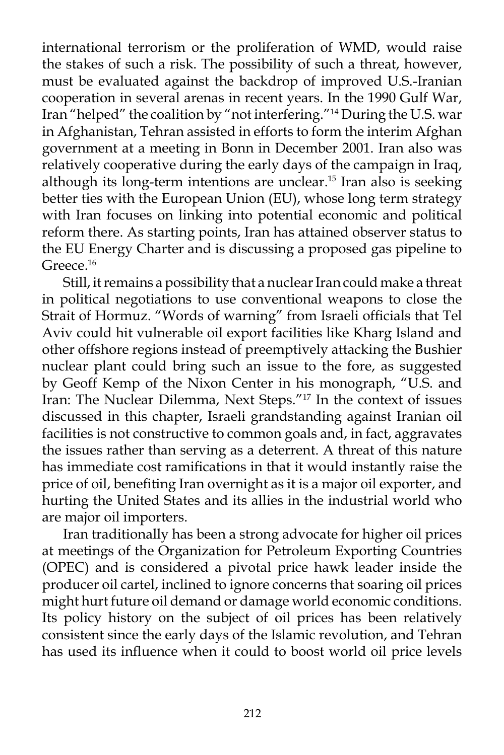international terrorism or the proliferation of WMD, would raise the stakes of such a risk. The possibility of such a threat, however, must be evaluated against the backdrop of improved U.S.-Iranian cooperation in several arenas in recent years. In the 1990 Gulf War, Iran "helped" the coalition by "not interfering."14 During the U.S. war in Afghanistan, Tehran assisted in efforts to form the interim Afghan government at a meeting in Bonn in December 2001. Iran also was relatively cooperative during the early days of the campaign in Iraq, although its long-term intentions are unclear.<sup>15</sup> Iran also is seeking better ties with the European Union (EU), whose long term strategy with Iran focuses on linking into potential economic and political reform there. As starting points, Iran has attained observer status to the EU Energy Charter and is discussing a proposed gas pipeline to Greece.<sup>16</sup>

 Still, it remains a possibility that a nuclear Iran could make a threat in political negotiations to use conventional weapons to close the Strait of Hormuz. "Words of warning" from Israeli officials that Tel Aviv could hit vulnerable oil export facilities like Kharg Island and other offshore regions instead of preemptively attacking the Bushier nuclear plant could bring such an issue to the fore, as suggested by Geoff Kemp of the Nixon Center in his monograph, "U.S. and Iran: The Nuclear Dilemma, Next Steps."17 In the context of issues discussed in this chapter, Israeli grandstanding against Iranian oil facilities is not constructive to common goals and, in fact, aggravates the issues rather than serving as a deterrent. A threat of this nature has immediate cost ramifications in that it would instantly raise the price of oil, benefiting Iran overnight as it is a major oil exporter, and hurting the United States and its allies in the industrial world who are major oil importers.

 Iran traditionally has been a strong advocate for higher oil prices at meetings of the Organization for Petroleum Exporting Countries (OPEC) and is considered a pivotal price hawk leader inside the producer oil cartel, inclined to ignore concerns that soaring oil prices might hurt future oil demand or damage world economic conditions. Its policy history on the subject of oil prices has been relatively consistent since the early days of the Islamic revolution, and Tehran has used its influence when it could to boost world oil price levels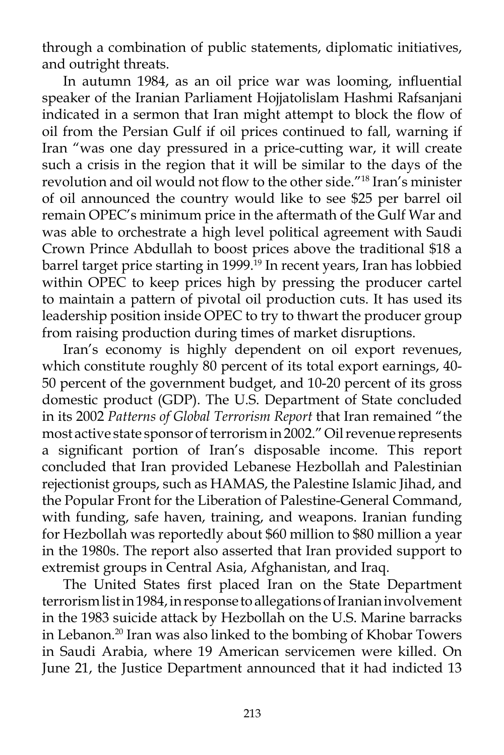through a combination of public statements, diplomatic initiatives, and outright threats.

 In autumn 1984, as an oil price war was looming, influential speaker of the Iranian Parliament Hojjatolislam Hashmi Rafsanjani indicated in a sermon that Iran might attempt to block the flow of oil from the Persian Gulf if oil prices continued to fall, warning if Iran "was one day pressured in a price-cutting war, it will create such a crisis in the region that it will be similar to the days of the revolution and oil would not flow to the other side."18 Iran's minister of oil announced the country would like to see \$25 per barrel oil remain OPEC's minimum price in the aftermath of the Gulf War and was able to orchestrate a high level political agreement with Saudi Crown Prince Abdullah to boost prices above the traditional \$18 a barrel target price starting in 1999.<sup>19</sup> In recent years, Iran has lobbied within OPEC to keep prices high by pressing the producer cartel to maintain a pattern of pivotal oil production cuts. It has used its leadership position inside OPEC to try to thwart the producer group from raising production during times of market disruptions.

 Iran's economy is highly dependent on oil export revenues, which constitute roughly 80 percent of its total export earnings, 40- 50 percent of the government budget, and 10-20 percent of its gross domestic product (GDP). The U.S. Department of State concluded in its 2002 *Patterns of Global Terrorism Report* that Iran remained "the most active state sponsor of terrorism in 2002." Oil revenue represents a significant portion of Iran's disposable income. This report concluded that Iran provided Lebanese Hezbollah and Palestinian rejectionist groups, such as HAMAS, the Palestine Islamic Jihad, and the Popular Front for the Liberation of Palestine-General Command, with funding, safe haven, training, and weapons. Iranian funding for Hezbollah was reportedly about \$60 million to \$80 million a year in the 1980s. The report also asserted that Iran provided support to extremist groups in Central Asia, Afghanistan, and Iraq.

 The United States first placed Iran on the State Department terrorism list in 1984, in response to allegations of Iranian involvement in the 1983 suicide attack by Hezbollah on the U.S. Marine barracks in Lebanon.20 Iran was also linked to the bombing of Khobar Towers in Saudi Arabia, where 19 American servicemen were killed. On June 21, the Justice Department announced that it had indicted 13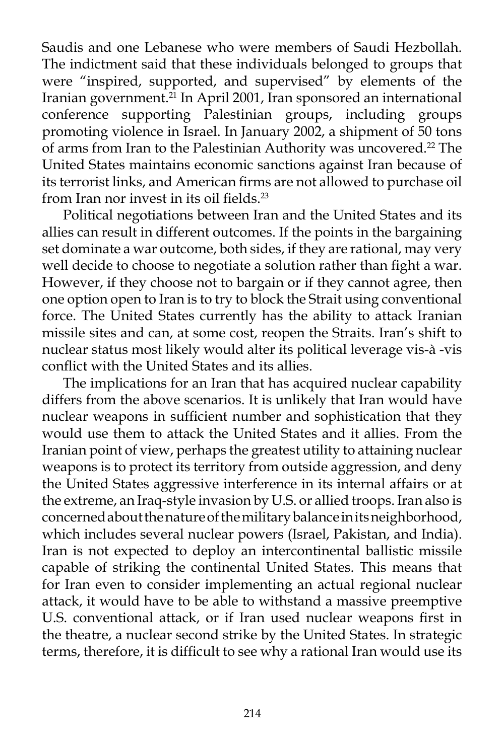Saudis and one Lebanese who were members of Saudi Hezbollah. The indictment said that these individuals belonged to groups that were "inspired, supported, and supervised" by elements of the Iranian government.<sup>21</sup> In April 2001, Iran sponsored an international conference supporting Palestinian groups, including groups promoting violence in Israel. In January 2002, a shipment of 50 tons of arms from Iran to the Palestinian Authority was uncovered.<sup>22</sup> The United States maintains economic sanctions against Iran because of its terrorist links, and American firms are not allowed to purchase oil from Iran nor invest in its oil fields.<sup>23</sup>

 Political negotiations between Iran and the United States and its allies can result in different outcomes. If the points in the bargaining set dominate a war outcome, both sides, if they are rational, may very well decide to choose to negotiate a solution rather than fight a war. However, if they choose not to bargain or if they cannot agree, then one option open to Iran is to try to block the Strait using conventional force. The United States currently has the ability to attack Iranian missile sites and can, at some cost, reopen the Straits. Iran's shift to nuclear status most likely would alter its political leverage vis-à -vis conflict with the United States and its allies.

 The implications for an Iran that has acquired nuclear capability differs from the above scenarios. It is unlikely that Iran would have nuclear weapons in sufficient number and sophistication that they would use them to attack the United States and it allies. From the Iranian point of view, perhaps the greatest utility to attaining nuclear weapons is to protect its territory from outside aggression, and deny the United States aggressive interference in its internal affairs or at the extreme, an Iraq-style invasion by U.S. or allied troops. Iran also is concerned about the nature of the military balance in its neighborhood, which includes several nuclear powers (Israel, Pakistan, and India). Iran is not expected to deploy an intercontinental ballistic missile capable of striking the continental United States. This means that for Iran even to consider implementing an actual regional nuclear attack, it would have to be able to withstand a massive preemptive U.S. conventional attack, or if Iran used nuclear weapons first in the theatre, a nuclear second strike by the United States. In strategic terms, therefore, it is difficult to see why a rational Iran would use its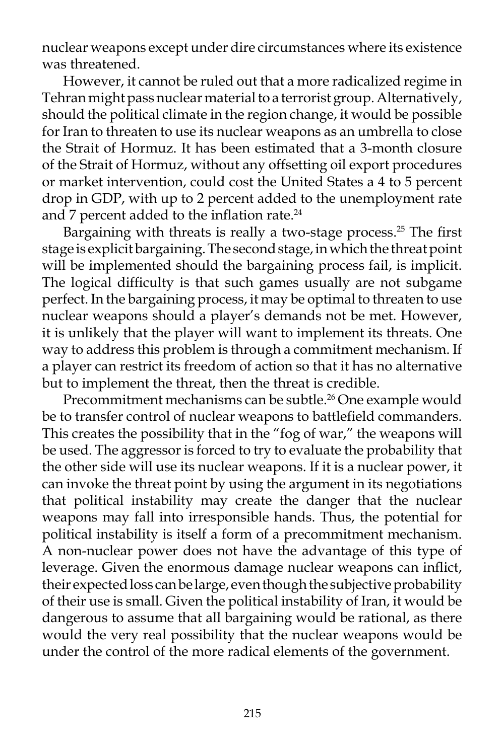nuclear weapons except under dire circumstances where its existence was threatened.

 However, it cannot be ruled out that a more radicalized regime in Tehran might pass nuclear material to a terrorist group. Alternatively, should the political climate in the region change, it would be possible for Iran to threaten to use its nuclear weapons as an umbrella to close the Strait of Hormuz. It has been estimated that a 3-month closure of the Strait of Hormuz, without any offsetting oil export procedures or market intervention, could cost the United States a 4 to 5 percent drop in GDP, with up to 2 percent added to the unemployment rate and 7 percent added to the inflation rate.<sup>24</sup>

Bargaining with threats is really a two-stage process.<sup>25</sup> The first stage is explicit bargaining. The second stage, in which the threat point will be implemented should the bargaining process fail, is implicit. The logical difficulty is that such games usually are not subgame perfect. In the bargaining process, it may be optimal to threaten to use nuclear weapons should a player's demands not be met. However, it is unlikely that the player will want to implement its threats. One way to address this problem is through a commitment mechanism. If a player can restrict its freedom of action so that it has no alternative but to implement the threat, then the threat is credible.

Precommitment mechanisms can be subtle.<sup>26</sup> One example would be to transfer control of nuclear weapons to battlefield commanders. This creates the possibility that in the "fog of war," the weapons will be used. The aggressor is forced to try to evaluate the probability that the other side will use its nuclear weapons. If it is a nuclear power, it can invoke the threat point by using the argument in its negotiations that political instability may create the danger that the nuclear weapons may fall into irresponsible hands. Thus, the potential for political instability is itself a form of a precommitment mechanism. A non-nuclear power does not have the advantage of this type of leverage. Given the enormous damage nuclear weapons can inflict, their expected loss can be large, even though the subjective probability of their use is small. Given the political instability of Iran, it would be dangerous to assume that all bargaining would be rational, as there would the very real possibility that the nuclear weapons would be under the control of the more radical elements of the government.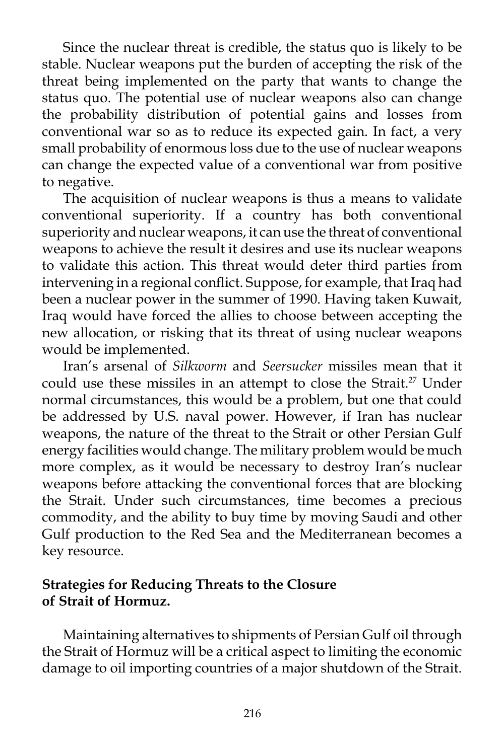Since the nuclear threat is credible, the status quo is likely to be stable. Nuclear weapons put the burden of accepting the risk of the threat being implemented on the party that wants to change the status quo. The potential use of nuclear weapons also can change the probability distribution of potential gains and losses from conventional war so as to reduce its expected gain. In fact, a very small probability of enormous loss due to the use of nuclear weapons can change the expected value of a conventional war from positive to negative.

 The acquisition of nuclear weapons is thus a means to validate conventional superiority. If a country has both conventional superiority and nuclear weapons, it can use the threat of conventional weapons to achieve the result it desires and use its nuclear weapons to validate this action. This threat would deter third parties from intervening in a regional conflict. Suppose, for example, that Iraq had been a nuclear power in the summer of 1990. Having taken Kuwait, Iraq would have forced the allies to choose between accepting the new allocation, or risking that its threat of using nuclear weapons would be implemented.

 Iran's arsenal of *Silkworm* and *Seersucker* missiles mean that it could use these missiles in an attempt to close the Strait.<sup>27</sup> Under normal circumstances, this would be a problem, but one that could be addressed by U.S. naval power. However, if Iran has nuclear weapons, the nature of the threat to the Strait or other Persian Gulf energy facilities would change. The military problem would be much more complex, as it would be necessary to destroy Iran's nuclear weapons before attacking the conventional forces that are blocking the Strait. Under such circumstances, time becomes a precious commodity, and the ability to buy time by moving Saudi and other Gulf production to the Red Sea and the Mediterranean becomes a key resource.

## **Strategies for Reducing Threats to the Closure of Strait of Hormuz.**

 Maintaining alternatives to shipments of Persian Gulf oil through the Strait of Hormuz will be a critical aspect to limiting the economic damage to oil importing countries of a major shutdown of the Strait.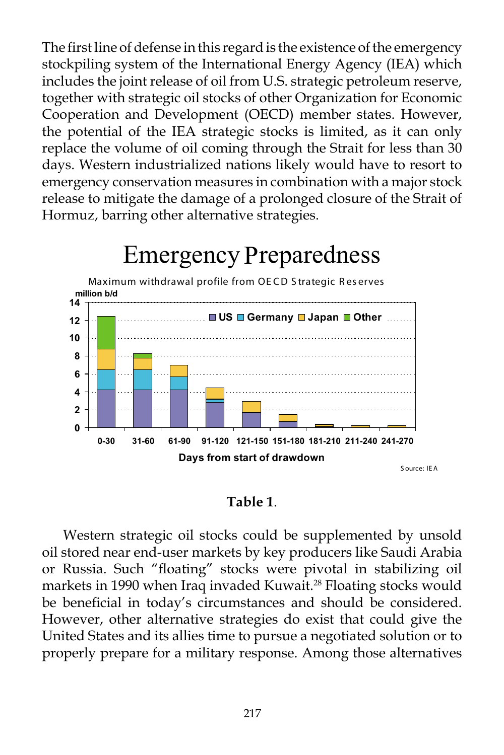The first line of defense in this regard is the existence of the emergency stockpiling system of the International Energy Agency (IEA) which includes the joint release of oil from U.S. strategic petroleum reserve, together with strategic oil stocks of other Organization for Economic Cooperation and Development (OECD) member states. However, the potential of the IEA strategic stocks is limited, as it can only replace the volume of oil coming through the Strait for less than 30 days. Western industrialized nations likely would have to resort to emergency conservation measures in combination with a major stock release to mitigate the damage of a prolonged closure of the Strait of Hormuz, barring other alternative strategies.



## **Table 1**.

 Western strategic oil stocks could be supplemented by unsold oil stored near end-user markets by key producers like Saudi Arabia or Russia. Such "floating" stocks were pivotal in stabilizing oil markets in 1990 when Iraq invaded Kuwait.<sup>28</sup> Floating stocks would be beneficial in today's circumstances and should be considered. However, other alternative strategies do exist that could give the United States and its allies time to pursue a negotiated solution or to properly prepare for a military response. Among those alternatives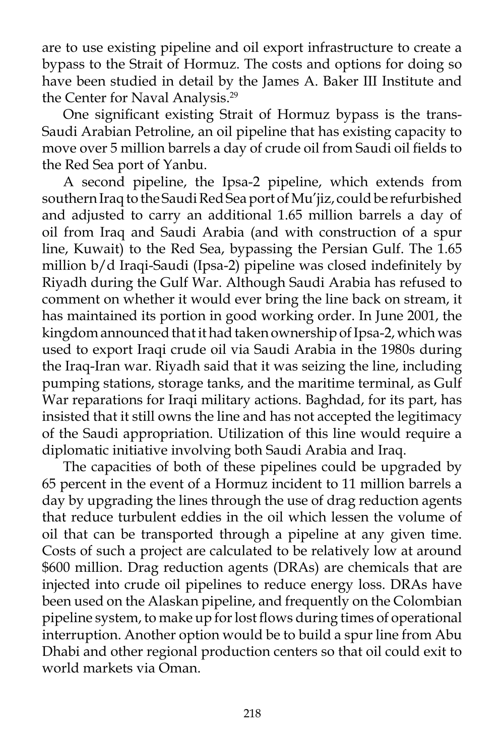are to use existing pipeline and oil export infrastructure to create a bypass to the Strait of Hormuz. The costs and options for doing so have been studied in detail by the James A. Baker III Institute and the Center for Naval Analysis.29

 One significant existing Strait of Hormuz bypass is the trans-Saudi Arabian Petroline, an oil pipeline that has existing capacity to move over 5 million barrels a day of crude oil from Saudi oil fields to the Red Sea port of Yanbu.

 A second pipeline, the Ipsa-2 pipeline, which extends from southern Iraq to the Saudi Red Sea port of Mu'jiz, could be refurbished and adjusted to carry an additional 1.65 million barrels a day of oil from Iraq and Saudi Arabia (and with construction of a spur line, Kuwait) to the Red Sea, bypassing the Persian Gulf. The 1.65 million b/d Iraqi-Saudi (Ipsa-2) pipeline was closed indefinitely by Riyadh during the Gulf War. Although Saudi Arabia has refused to comment on whether it would ever bring the line back on stream, it has maintained its portion in good working order. In June 2001, the kingdom announced that it had taken ownership of Ipsa-2, which was used to export Iraqi crude oil via Saudi Arabia in the 1980s during the Iraq-Iran war. Riyadh said that it was seizing the line, including pumping stations, storage tanks, and the maritime terminal, as Gulf War reparations for Iraqi military actions. Baghdad, for its part, has insisted that it still owns the line and has not accepted the legitimacy of the Saudi appropriation. Utilization of this line would require a diplomatic initiative involving both Saudi Arabia and Iraq.

 The capacities of both of these pipelines could be upgraded by 65 percent in the event of a Hormuz incident to 11 million barrels a day by upgrading the lines through the use of drag reduction agents that reduce turbulent eddies in the oil which lessen the volume of oil that can be transported through a pipeline at any given time. Costs of such a project are calculated to be relatively low at around \$600 million. Drag reduction agents (DRAs) are chemicals that are injected into crude oil pipelines to reduce energy loss. DRAs have been used on the Alaskan pipeline, and frequently on the Colombian pipeline system, to make up for lost flows during times of operational interruption. Another option would be to build a spur line from Abu Dhabi and other regional production centers so that oil could exit to world markets via Oman.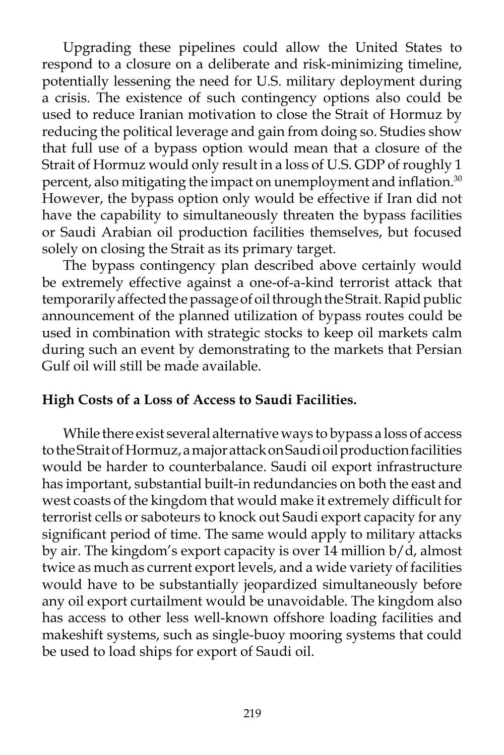Upgrading these pipelines could allow the United States to respond to a closure on a deliberate and risk-minimizing timeline, potentially lessening the need for U.S. military deployment during a crisis. The existence of such contingency options also could be used to reduce Iranian motivation to close the Strait of Hormuz by reducing the political leverage and gain from doing so. Studies show that full use of a bypass option would mean that a closure of the Strait of Hormuz would only result in a loss of U.S. GDP of roughly 1 percent, also mitigating the impact on unemployment and inflation.<sup>30</sup> However, the bypass option only would be effective if Iran did not have the capability to simultaneously threaten the bypass facilities or Saudi Arabian oil production facilities themselves, but focused solely on closing the Strait as its primary target.

 The bypass contingency plan described above certainly would be extremely effective against a one-of-a-kind terrorist attack that temporarily affected the passage of oil through the Strait. Rapid public announcement of the planned utilization of bypass routes could be used in combination with strategic stocks to keep oil markets calm during such an event by demonstrating to the markets that Persian Gulf oil will still be made available.

# **High Costs of a Loss of Access to Saudi Facilities.**

 While there exist several alternative ways to bypass a loss of access to the Strait of Hormuz, a major attack on Saudi oil production facilities would be harder to counterbalance. Saudi oil export infrastructure has important, substantial built-in redundancies on both the east and west coasts of the kingdom that would make it extremely difficult for terrorist cells or saboteurs to knock out Saudi export capacity for any significant period of time. The same would apply to military attacks by air. The kingdom's export capacity is over 14 million b/d, almost twice as much as current export levels, and a wide variety of facilities would have to be substantially jeopardized simultaneously before any oil export curtailment would be unavoidable. The kingdom also has access to other less well-known offshore loading facilities and makeshift systems, such as single-buoy mooring systems that could be used to load ships for export of Saudi oil.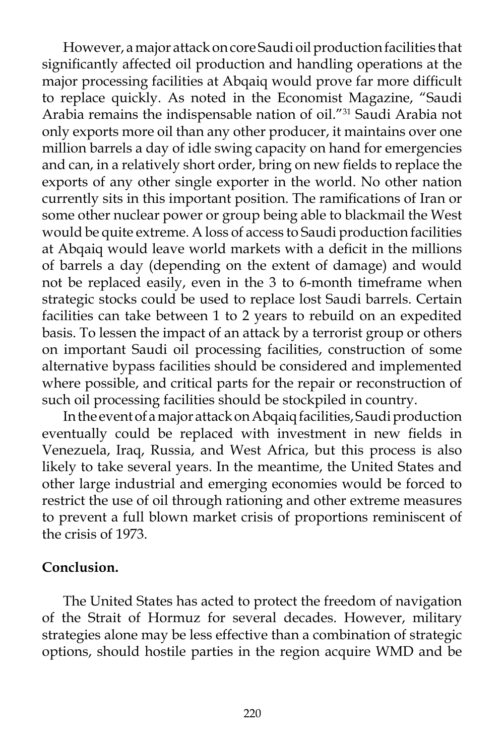However, a major attack on core Saudi oil production facilities that significantly affected oil production and handling operations at the major processing facilities at Abqaiq would prove far more difficult to replace quickly. As noted in the Economist Magazine, "Saudi Arabia remains the indispensable nation of oil."31 Saudi Arabia not only exports more oil than any other producer, it maintains over one million barrels a day of idle swing capacity on hand for emergencies and can, in a relatively short order, bring on new fields to replace the exports of any other single exporter in the world. No other nation currently sits in this important position. The ramifications of Iran or some other nuclear power or group being able to blackmail the West would be quite extreme. A loss of access to Saudi production facilities at Abqaiq would leave world markets with a deficit in the millions of barrels a day (depending on the extent of damage) and would not be replaced easily, even in the 3 to 6-month timeframe when strategic stocks could be used to replace lost Saudi barrels. Certain facilities can take between 1 to 2 years to rebuild on an expedited basis. To lessen the impact of an attack by a terrorist group or others on important Saudi oil processing facilities, construction of some alternative bypass facilities should be considered and implemented where possible, and critical parts for the repair or reconstruction of such oil processing facilities should be stockpiled in country.

 In the event of a major attack on Abqaiq facilities, Saudi production eventually could be replaced with investment in new fields in Venezuela, Iraq, Russia, and West Africa, but this process is also likely to take several years. In the meantime, the United States and other large industrial and emerging economies would be forced to restrict the use of oil through rationing and other extreme measures to prevent a full blown market crisis of proportions reminiscent of the crisis of 1973.

#### **Conclusion.**

 The United States has acted to protect the freedom of navigation of the Strait of Hormuz for several decades. However, military strategies alone may be less effective than a combination of strategic options, should hostile parties in the region acquire WMD and be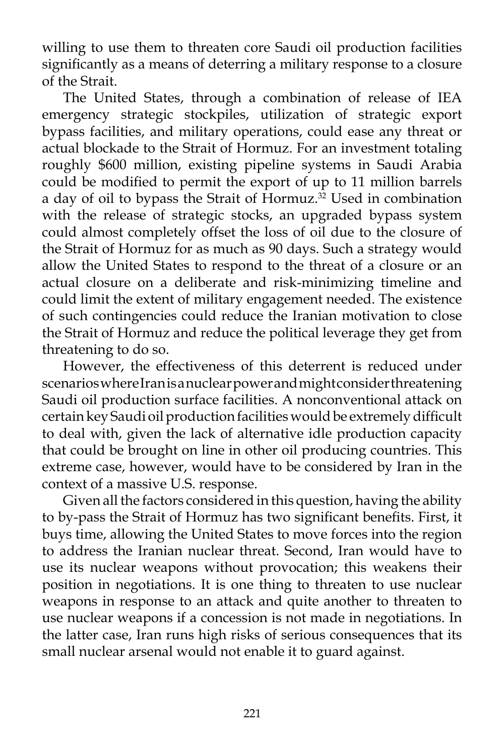willing to use them to threaten core Saudi oil production facilities significantly as a means of deterring a military response to a closure of the Strait.

 The United States, through a combination of release of IEA emergency strategic stockpiles, utilization of strategic export bypass facilities, and military operations, could ease any threat or actual blockade to the Strait of Hormuz. For an investment totaling roughly \$600 million, existing pipeline systems in Saudi Arabia could be modified to permit the export of up to 11 million barrels a day of oil to bypass the Strait of Hormuz.<sup>32</sup> Used in combination with the release of strategic stocks, an upgraded bypass system could almost completely offset the loss of oil due to the closure of the Strait of Hormuz for as much as 90 days. Such a strategy would allow the United States to respond to the threat of a closure or an actual closure on a deliberate and risk-minimizing timeline and could limit the extent of military engagement needed. The existence of such contingencies could reduce the Iranian motivation to close the Strait of Hormuz and reduce the political leverage they get from threatening to do so.

 However, the effectiveness of this deterrent is reduced under scenarios where Iran is a nuclear power and might consider threatening Saudi oil production surface facilities. A nonconventional attack on certain key Saudi oil production facilities would be extremely difficult to deal with, given the lack of alternative idle production capacity that could be brought on line in other oil producing countries. This extreme case, however, would have to be considered by Iran in the context of a massive U.S. response.

 Given all the factors considered in this question, having the ability to by-pass the Strait of Hormuz has two significant benefits. First, it buys time, allowing the United States to move forces into the region to address the Iranian nuclear threat. Second, Iran would have to use its nuclear weapons without provocation; this weakens their position in negotiations. It is one thing to threaten to use nuclear weapons in response to an attack and quite another to threaten to use nuclear weapons if a concession is not made in negotiations. In the latter case, Iran runs high risks of serious consequences that its small nuclear arsenal would not enable it to guard against.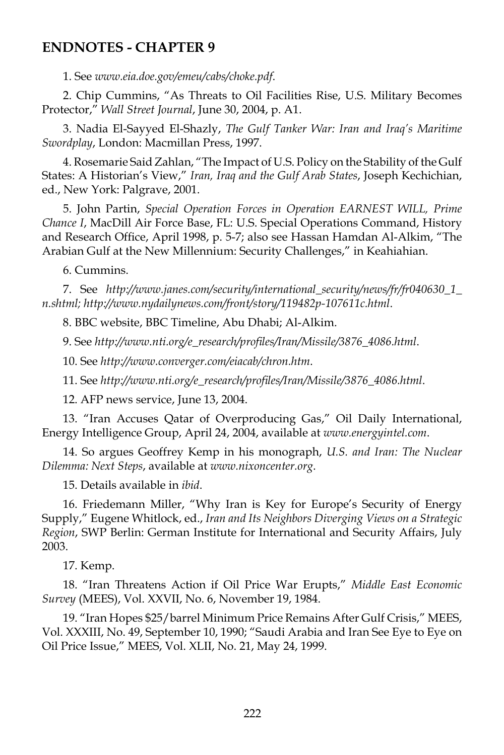## **ENDNOTES - CHAPTER 9**

1. See *www.eia.doe.gov/emeu/cabs/choke.pdf*.

 2. Chip Cummins, "As Threats to Oil Facilities Rise, U.S. Military Becomes Protector," *Wall Street Journal*, June 30, 2004, p. A1.

 3. Nadia El-Sayyed El-Shazly, *The Gulf Tanker War: Iran and Iraq's Maritime Swordplay*, London: Macmillan Press, 1997.

 4. Rosemarie Said Zahlan, "The Impact of U.S. Policy on the Stability of the Gulf States: A Historian's View," *Iran, Iraq and the Gulf Arab States*, Joseph Kechichian, ed., New York: Palgrave, 2001.

 5. John Partin, *Special Operation Forces in Operation EARNEST WILL, Prime Chance I*, MacDill Air Force Base, FL: U.S. Special Operations Command, History and Research Office, April 1998, p. 5-7; also see Hassan Hamdan Al-Alkim, "The Arabian Gulf at the New Millennium: Security Challenges," in Keahiahian.

6. Cummins.

 7. See *http://www.janes.com/security/international\_security/news/fr/fr040630\_1\_ n.shtml; http://www.nydailynews.com/front/story/119482p-107611c.html*.

8. BBC website, BBC Timeline, Abu Dhabi; Al-Alkim.

9. See *http://www.nti.org/e\_research/profiles/Iran/Missile/3876\_4086.html*.

10. See *http://www.converger.com/eiacab/chron.htm*.

11. See *http://www.nti.org/e\_research/profiles/Iran/Missile/3876\_4086.html*.

12. AFP news service, June 13, 2004.

 13. "Iran Accuses Qatar of Overproducing Gas," Oil Daily International, Energy Intelligence Group, April 24, 2004, available at *www.energyintel.com*.

 14. So argues Geoffrey Kemp in his monograph, *U.S. and Iran: The Nuclear Dilemma: Next Steps*, available at *www.nixoncenter.org*.

15. Details available in *ibid*.

 16. Friedemann Miller, "Why Iran is Key for Europe's Security of Energy Supply," Eugene Whitlock, ed., *Iran and Its Neighbors Diverging Views on a Strategic Region*, SWP Berlin: German Institute for International and Security Affairs, July 2003.

17. Kemp.

 18. "Iran Threatens Action if Oil Price War Erupts," *Middle East Economic Survey* (MEES), Vol. XXVII, No. 6, November 19, 1984.

 19. "Iran Hopes \$25/barrel Minimum Price Remains After Gulf Crisis," MEES, Vol. XXXIII, No. 49, September 10, 1990; "Saudi Arabia and Iran See Eye to Eye on Oil Price Issue," MEES, Vol. XLII, No. 21, May 24, 1999.